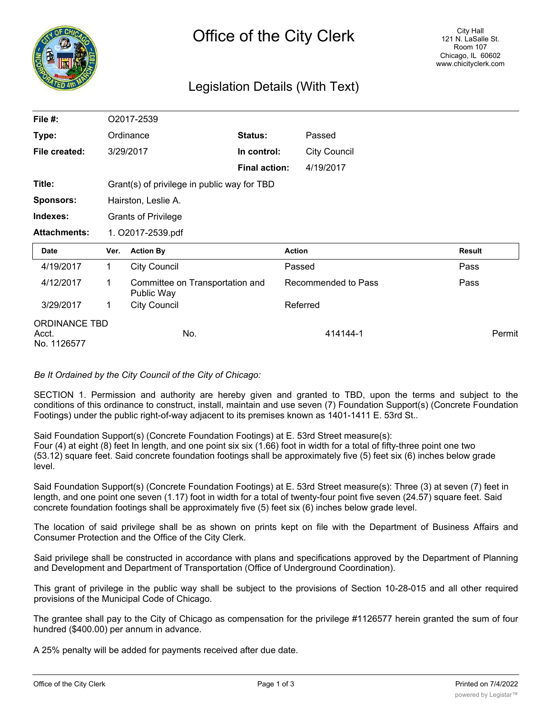

# Legislation Details (With Text)

| File #:             |                                             | O2017-2539                                    |                      |                     |        |
|---------------------|---------------------------------------------|-----------------------------------------------|----------------------|---------------------|--------|
| Type:               |                                             | Ordinance                                     | Status:              | Passed              |        |
| File created:       |                                             | 3/29/2017                                     | In control:          | <b>City Council</b> |        |
|                     |                                             |                                               | <b>Final action:</b> | 4/19/2017           |        |
| Title:              | Grant(s) of privilege in public way for TBD |                                               |                      |                     |        |
| <b>Sponsors:</b>    | Hairston, Leslie A.                         |                                               |                      |                     |        |
| Indexes:            |                                             | <b>Grants of Privilege</b>                    |                      |                     |        |
| <b>Attachments:</b> | 1. O2017-2539.pdf                           |                                               |                      |                     |        |
|                     |                                             |                                               |                      |                     |        |
| Date                | Ver.                                        | <b>Action By</b>                              | <b>Action</b>        |                     | Result |
| 4/19/2017           | $\mathbf{1}$                                | <b>City Council</b>                           | Passed               |                     | Pass   |
| 4/12/2017           | 1                                           | Committee on Transportation and<br>Public Way |                      | Recommended to Pass | Pass   |
| 3/29/2017           | 1                                           | <b>City Council</b>                           |                      | Referred            |        |

## *Be It Ordained by the City Council of the City of Chicago:*

SECTION 1. Permission and authority are hereby given and granted to TBD, upon the terms and subject to the conditions of this ordinance to construct, install, maintain and use seven (7) Foundation Support(s) (Concrete Foundation Footings) under the public right-of-way adjacent to its premises known as 1401-1411 E. 53rd St..

Said Foundation Support(s) (Concrete Foundation Footings) at E. 53rd Street measure(s): Four (4) at eight (8) feet In length, and one point six six (1.66) foot in width for a total of fifty-three point one two (53.12) square feet. Said concrete foundation footings shall be approximately five (5) feet six (6) inches below grade level.

Said Foundation Support(s) (Concrete Foundation Footings) at E. 53rd Street measure(s): Three (3) at seven (7) feet in length, and one point one seven (1.17) foot in width for a total of twenty-four point five seven (24.57) square feet. Said concrete foundation footings shall be approximately five (5) feet six (6) inches below grade level.

The location of said privilege shall be as shown on prints kept on file with the Department of Business Affairs and Consumer Protection and the Office of the City Clerk.

Said privilege shall be constructed in accordance with plans and specifications approved by the Department of Planning and Development and Department of Transportation (Office of Underground Coordination).

This grant of privilege in the public way shall be subject to the provisions of Section 10-28-015 and all other required provisions of the Municipal Code of Chicago.

The grantee shall pay to the City of Chicago as compensation for the privilege #1126577 herein granted the sum of four hundred (\$400.00) per annum in advance.

A 25% penalty will be added for payments received after due date.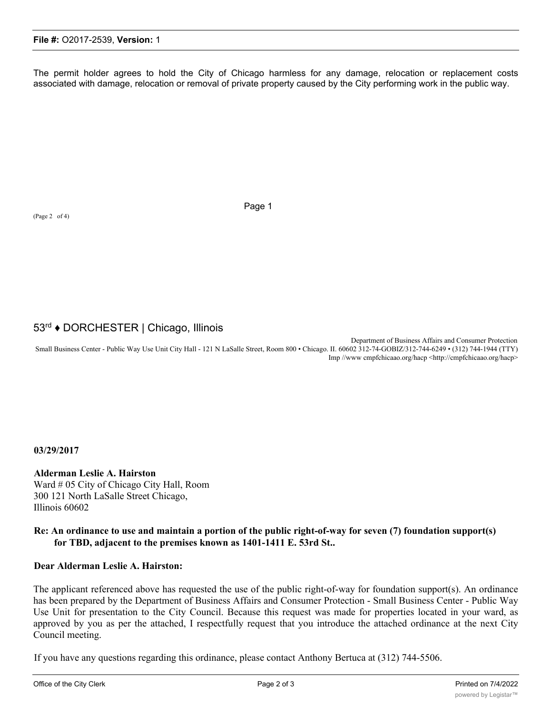The permit holder agrees to hold the City of Chicago harmless for any damage, relocation or replacement costs associated with damage, relocation or removal of private property caused by the City performing work in the public way.

(Page 2 of 4)

Page 1

# 53rd ♦ DORCHESTER | Chicago, Illinois

Department of Business Affairs and Consumer Protection Small Business Center - Public Way Use Unit City Hall - 121 N LaSalle Street, Room 800 • Chicago. II. 60602 312-74-GOBIZ/312-744-6249 • (312) 744-1944 (TTY) Imp //www cmpfchicaao.org/hacp <http://cmpfchicaao.org/hacp>

**03/29/2017**

**Alderman Leslie A. Hairston** Ward # 05 City of Chicago City Hall, Room 300 121 North LaSalle Street Chicago, Illinois 60602

## **Re: An ordinance to use and maintain a portion of the public right-of-way for seven (7) foundation support(s) for TBD, adjacent to the premises known as 1401-1411 E. 53rd St..**

#### **Dear Alderman Leslie A. Hairston:**

The applicant referenced above has requested the use of the public right-of-way for foundation support(s). An ordinance has been prepared by the Department of Business Affairs and Consumer Protection - Small Business Center - Public Way Use Unit for presentation to the City Council. Because this request was made for properties located in your ward, as approved by you as per the attached, I respectfully request that you introduce the attached ordinance at the next City Council meeting.

If you have any questions regarding this ordinance, please contact Anthony Bertuca at (312) 744-5506.